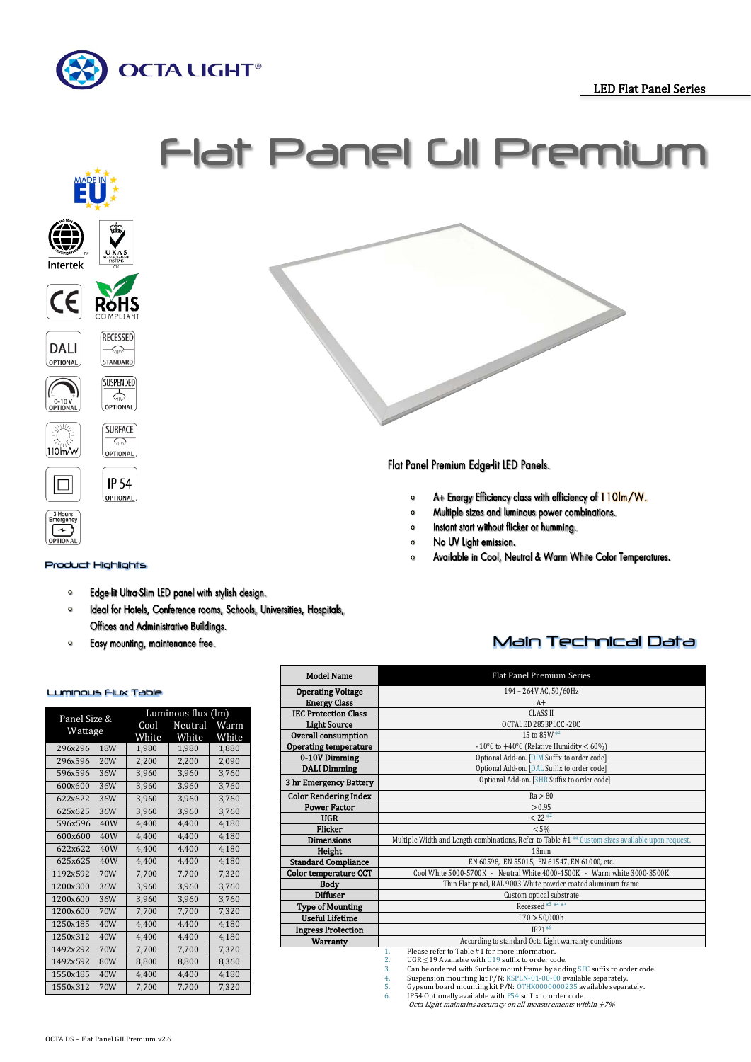





### Product Highlights

- Edge-lit Ultra-Slim LED panel with stylish design.  $\bullet$
- $\circ$ Ideal for Hotels, Conference rooms, Schools, Universities, Hospitals, Offices and Administrative Buildings.
- Easy mounting, maintenance free.  $\bullet$

#### Luminous Flux Table

| Panel Size &<br>Wattage |                 | Luminous flux (lm) |         |       |  |
|-------------------------|-----------------|--------------------|---------|-------|--|
|                         |                 | Cool               | Neutral | Warm  |  |
|                         |                 | White              | White   | White |  |
| 296x296                 | 18 <sub>W</sub> | 1,980              | 1,980   | 1,880 |  |
| 296x596                 | 20W             | 2,200              | 2,200   | 2,090 |  |
| 596x596                 | 36W             | 3.960              | 3,960   | 3,760 |  |
| 600x600                 | 36W             | 3,960              | 3,960   | 3,760 |  |
| 622x622                 | 36W             | 3.960              | 3,960   | 3,760 |  |
| 625x625                 | 36W             | 3,960              | 3,960   | 3,760 |  |
| 596x596                 | 40W             | 4,400              | 4,400   | 4,180 |  |
| 600x600                 | 40W             | 4.400              | 4.400   | 4.180 |  |
| 622x622                 | 40W             | 4,400              | 4,400   | 4,180 |  |
| 625x625                 | 40W             | 4,400              | 4,400   | 4,180 |  |
| 1192x592                | 70W             | 7,700              | 7,700   | 7,320 |  |
| 1200x300                | 36W             | 3,960              | 3,960   | 3,760 |  |
| 1200x600                | 36W             | 3,960              | 3,960   | 3,760 |  |
| 1200x600                | 70W             | 7,700              | 7,700   | 7,320 |  |
| 1250x185                | 40W             | 4.400              | 4,400   | 4,180 |  |
| 1250x312                | 40W             | 4.400              | 4.400   | 4.180 |  |
| 1492x292                | 70W             | 7,700              | 7,700   | 7,320 |  |
| 1492x592                | 80W             | 8.800              | 8.800   | 8.360 |  |
| 1550x185                | 40W             | 4,400              | 4,400   | 4,180 |  |
| 1550x312                | 70W             | 7,700              | 7,700   | 7,320 |  |

## Main Technical Data

| <b>Model Name</b>            | Flat Panel Premium Series                                                                                    |  |  |  |  |
|------------------------------|--------------------------------------------------------------------------------------------------------------|--|--|--|--|
| <b>Operating Voltage</b>     | 194 - 264V AC, 50/60Hz                                                                                       |  |  |  |  |
| <b>Energy Class</b>          | $A+$                                                                                                         |  |  |  |  |
| <b>IEC Protection Class</b>  | <b>CLASS II</b>                                                                                              |  |  |  |  |
| <b>Light Source</b>          | OCTALED 2853PLCC -28C                                                                                        |  |  |  |  |
| Overall consumption          | 15 to 85W $*1$                                                                                               |  |  |  |  |
| <b>Operating temperature</b> | - 10°C to $+40$ °C (Relative Humidity < 60%)                                                                 |  |  |  |  |
| 0-10V Dimming                | Optional Add-on. [DIM Suffix to order code]                                                                  |  |  |  |  |
| <b>DALI Dimming</b>          | Optional Add-on. [DAL Suffix to order code]                                                                  |  |  |  |  |
| 3 hr Emergency Battery       | Optional Add-on. [3HR Suffix to order code]                                                                  |  |  |  |  |
| <b>Color Rendering Index</b> | Ra > 80                                                                                                      |  |  |  |  |
| <b>Power Factor</b>          | > 0.95                                                                                                       |  |  |  |  |
| <b>UGR</b>                   | $< 22 *^2$                                                                                                   |  |  |  |  |
| Flicker                      | < 5%                                                                                                         |  |  |  |  |
| <b>Dimensions</b>            | Multiple Width and Length combinations, Refer to Table #1 <sup>**</sup> Custom sizes available upon request. |  |  |  |  |
| Height                       | 13mm                                                                                                         |  |  |  |  |
| <b>Standard Compliance</b>   | EN 60598, EN 55015, EN 61547, EN 61000, etc.                                                                 |  |  |  |  |
| Color temperature CCT        | Cool White 5000-5700K - Neutral White 4000-4500K - Warm white 3000-3500K                                     |  |  |  |  |
| <b>Body</b>                  | Thin Flat panel, RAL 9003 White powder coated aluminum frame                                                 |  |  |  |  |
| <b>Diffuser</b>              | Custom optical substrate                                                                                     |  |  |  |  |
| <b>Type of Mounting</b>      | Recessed <sup>*3</sup> * <sup>4</sup> *5                                                                     |  |  |  |  |
| <b>Useful Lifetime</b>       | L70 > 50,000h                                                                                                |  |  |  |  |
| <b>Ingress Protection</b>    | $IP21*6$                                                                                                     |  |  |  |  |
| Warranty                     | According to standard Octa Light warranty conditions                                                         |  |  |  |  |
|                              | Please refer to Table #1 for more information.<br>$\mathbf{1}$ .                                             |  |  |  |  |
|                              | $\overline{2}$ .<br>UGR $\leq$ 19 Available with U19 suffix to order code.                                   |  |  |  |  |
|                              | 3.<br>Can be ordered with Surface mount frame by adding SFC suffix to order code.                            |  |  |  |  |

- 3. Can be ordered with surface mount frame by during or obtain to order 4. Suspension mounting kit P/N: KSPLN-01-00-00 available separately.
- 4. Suspension mounting kit P/N: KSPLN-01-00-00 available separately.<br>5. Gypsum board mounting kit P/N: OTHX0000000235 available separately.<br>6. IP54 Optionally available with P54 suffix to order code.

Octa Light maintains accuracy on all measurements within  $\pm 7\%$